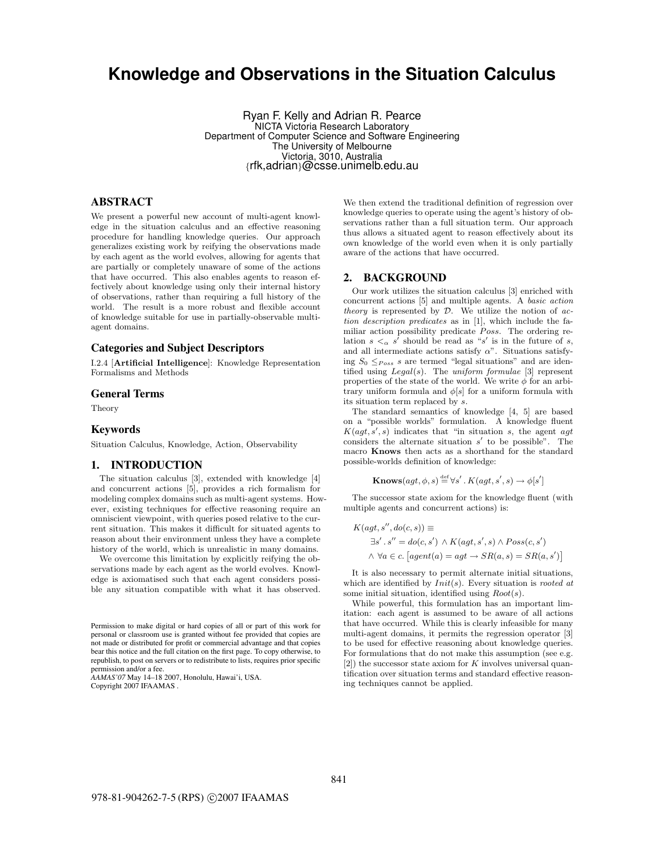# Knowledge and Observations in the Situation Calculus

Ryan F. Kelly and Adrian R. Pearce NICTA Victoria Research Laboratory Department of Computer Science and Software Engineering The University of Melbourne Victoria, 3010, Australia {rfk,adrian}@csse.unimelb.edu.au

# ABSTRACT

We present a powerful new account of multi-agent knowledge in the situation calculus and an effective reasoning procedure for handling knowledge queries. Our approach generalizes existing work by reifying the observations made by each agent as the world evolves, allowing for agents that are partially or completely unaware of some of the actions that have occurred. This also enables agents to reason effectively about knowledge using only their internal history of observations, rather than requiring a full history of the world. The result is a more robust and flexible account of knowledge suitable for use in partially-observable multiagent domains.

# Categories and Subject Descriptors

I.2.4 [**Artificial Intelligence**]: Knowledge Representation Formalisms and Methods

# General Terms

Theory

#### Keywords

Situation Calculus, Knowledge, Action, Observability

## 1. INTRODUCTION

The situation calculus [3], extended with knowledge [4] and concurrent actions [5], provides a rich formalism for modeling complex domains such as multi-agent systems. However, existing techniques for effective reasoning require an omniscient viewpoint, with queries posed relative to the current situation. This makes it difficult for situated agents to reason about their environment unless they have a complete history of the world, which is unrealistic in many domains.

We overcome this limitation by explicitly reifying the observations made by each agent as the world evolves. Knowledge is axiomatised such that each agent considers possible any situation compatible with what it has observed.

AAMAS'07 May 14–18 2007, Honolulu, Hawai'i, USA. Copyright 2007 IFAAMAS .

We then extend the traditional definition of regression over knowledge queries to operate using the agent's history of observations rather than a full situation term. Our approach thus allows a situated agent to reason effectively about its own knowledge of the world even when it is only partially aware of the actions that have occurred.

## 2. BACKGROUND

Our work utilizes the situation calculus [3] enriched with concurrent actions [5] and multiple agents. A basic action theory is represented by  $D$ . We utilize the notion of action description predicates as in [1], which include the familiar action possibility predicate  $Poss$ . The ordering relation  $s <_{\alpha} s'$  should be read as "s' is in the future of s, and all intermediate actions satisfy  $\alpha$ ". Situations satisfying  $S_0 \leq_{Poss} s$  are termed "legal situations" and are identified using  $Legal(s)$ . The uniform formulae [3] represent properties of the state of the world. We write  $\phi$  for an arbitrary uniform formula and  $\phi[s]$  for a uniform formula with its situation term replaced by s.

The standard semantics of knowledge [4, 5] are based on a "possible worlds" formulation. A knowledge fluent  $K(agt, s', s)$  indicates that "in situation s, the agent agt considers the alternate situation  $s'$  to be possible". The macro **Knows** then acts as a shorthand for the standard possible-worlds definition of knowledge:

$$
\mathbf{Knows}(agt, \phi, s) \stackrel{\text{def}}{=} \forall s'. K(agt, s', s) \rightarrow \phi[s']
$$

The successor state axiom for the knowledge fluent (with multiple agents and concurrent actions) is:

$$
K(agt, s'', do(c, s)) \equiv
$$
  
\n
$$
\exists s'. s'' = do(c, s') \land K(agt, s', s) \land Poss(c, s')
$$
  
\n
$$
\land \forall a \in c. [agent(a) = agt \rightarrow SR(a, s) = SR(a, s')]
$$

It is also necessary to permit alternate initial situations, which are identified by  $Init(s)$ . Every situation is *rooted at* some initial situation, identified using  $Root(s)$ .

While powerful, this formulation has an important limitation: each agent is assumed to be aware of all actions that have occurred. While this is clearly infeasible for many multi-agent domains, it permits the regression operator [3] to be used for effective reasoning about knowledge queries. For formulations that do not make this assumption (see e.g. [2]) the successor state axiom for K involves universal quantification over situation terms and standard effective reasoning techniques cannot be applied.

Permission to make digital or hard copies of all or part of this work for personal or classroom use is granted without fee provided that copies are not made or distributed for profit or commercial advantage and that copies bear this notice and the full citation on the first page. To copy otherwise, to republish, to post on servers or to redistribute to lists, requires prior specific permission and/or a fee.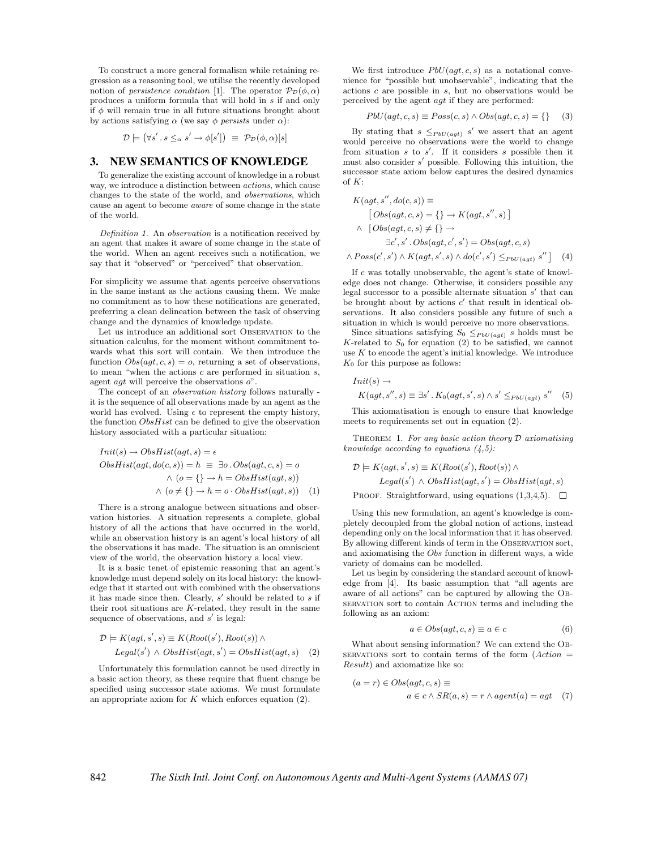To construct a more general formalism while retaining regression as a reasoning tool, we utilise the recently developed notion of *persistence condition* [1]. The operator  $\mathcal{P}_{\mathcal{D}}(\phi, \alpha)$ produces a uniform formula that will hold in s if and only if  $\phi$  will remain true in all future situations brought about by actions satisfying  $\alpha$  (we say  $\phi$  persists under  $\alpha$ ):

$$
\mathcal{D} \models (\forall s' \, . \, s \leq_\alpha s' \rightarrow \phi[s']) \equiv \mathcal{P}_\mathcal{D}(\phi, \alpha)[s]
$$

# 3. NEW SEMANTICS OF KNOWLEDGE

To generalize the existing account of knowledge in a robust way, we introduce a distinction between actions, which cause changes to the state of the world, and observations, which cause an agent to become aware of some change in the state of the world.

Definition 1. An observation is a notification received by an agent that makes it aware of some change in the state of the world. When an agent receives such a notification, we say that it "observed" or "perceived" that observation.

For simplicity we assume that agents perceive observations in the same instant as the actions causing them. We make no commitment as to how these notifications are generated, preferring a clean delineation between the task of observing change and the dynamics of knowledge update.

Let us introduce an additional sort Observation to the situation calculus, for the moment without commitment towards what this sort will contain. We then introduce the function  $Obs(agt, c, s) = o$ , returning a set of observations, to mean "when the actions  $c$  are performed in situation  $s$ , agent  $agt$  will perceive the observations  $o$ ".

The concept of an observation history follows naturally it is the sequence of all observations made by an agent as the world has evolved. Using  $\epsilon$  to represent the empty history, the function  $ObsHist$  can be defined to give the observation history associated with a particular situation:

$$
Init(s) \rightarrow ObsHist(agt, s) = \epsilon
$$
  
ObsHist(agt, do(c, s)) = h \equiv \exists o. Obs(agt, c, s) = o  

$$
\land (o = \{\} \rightarrow h = ObsHist(agt, s))
$$

$$
\land (o \neq \{\} \rightarrow h = o \cdot ObsHist(agt, s))
$$
 (1)

There is a strong analogue between situations and observation histories. A situation represents a complete, global history of all the actions that have occurred in the world, while an observation history is an agent's local history of all the observations it has made. The situation is an omniscient view of the world, the observation history a local view.

It is a basic tenet of epistemic reasoning that an agent's knowledge must depend solely on its local history: the knowledge that it started out with combined with the observations it has made since then. Clearly,  $s'$  should be related to s if their root situations are  $K$ -related, they result in the same sequence of observations, and  $s'$  is legal:

$$
\mathcal{D} \models K(agt, s', s) \equiv K(Root(s'), Root(s)) \land
$$
  
Legal(s')  $\land$  *ObsHist(agt, s')* = *ObsHist(agt, s)* (2)

Unfortunately this formulation cannot be used directly in a basic action theory, as these require that fluent change be specified using successor state axioms. We must formulate an appropriate axiom for  $K$  which enforces equation (2).

We first introduce  $PbU(agt, c, s)$  as a notational convenience for "possible but unobservable", indicating that the actions c are possible in s, but no observations would be perceived by the agent agt if they are performed:

 $PbU(agt, c, s) \equiv Poss(c, s) \wedge Obs(agt, c, s) = \{\}$  (3)

By stating that  $s \leq_{PbU(agt)} s'$  we assert that an agent would perceive no observations were the world to change from situation  $s$  to  $s'$ . If it considers  $s$  possible then it must also consider  $s'$  possible. Following this intuition, the successor state axiom below captures the desired dynamics of  $K$ :

$$
K(agt, s'', do(c, s)) \equiv
$$
  
\n
$$
[Obs(agt, c, s) = \{\} \rightarrow K(agt, s'', s)]
$$
  
\n
$$
\land [Obs(agt, c, s) \neq \{\} \rightarrow
$$
  
\n
$$
\exists c', s'. Obs(agt, c', s') = Obs(agt, c, s)
$$
  
\n
$$
\land Poss(c', s') \land K(agt, s', s) \land do(c', s') \leq_{PbU(agt)} s'' ]
$$
 (4)

If c was totally unobservable, the agent's state of knowledge does not change. Otherwise, it considers possible any legal successor to a possible alternate situation  $s'$  that can be brought about by actions  $c'$  that result in identical observations. It also considers possible any future of such a situation in which is would perceive no more observations.

Since situations satisfying  $S_0 \leq_{PbU(agt)} s$  holds must be  $K$ -related to  $S_0$  for equation (2) to be satisfied, we cannot use  $K$  to encode the agent's initial knowledge. We introduce  $K_0$  for this purpose as follows:

 $Init(s) \rightarrow$ 

$$
K(agt, s'', s) \equiv \exists s'. K_0(agt, s', s) \land s' \leq_{PbU(agt)} s'' \quad (5)
$$

This axiomatisation is enough to ensure that knowledge meets to requirements set out in equation (2).

THEOREM 1. For any basic action theory  $D$  axiomatising knowledge according to equations  $(4,5)$ :

$$
\mathcal{D} \models K(agt, s', s) \equiv K(Root(s'), Root(s)) \land
$$
  
Legal(s')  $\land$  ObsHist(agt, s') = ObsHist(agt, s)

PROOF. Straightforward, using equations  $(1,3,4,5)$ .  $\Box$ 

Using this new formulation, an agent's knowledge is completely decoupled from the global notion of actions, instead depending only on the local information that it has observed. By allowing different kinds of term in the OBSERVATION sort, and axiomatising the Obs function in different ways, a wide variety of domains can be modelled.

Let us begin by considering the standard account of knowledge from [4]. Its basic assumption that "all agents are aware of all actions" can be captured by allowing the Observation sort to contain Action terms and including the following as an axiom:

$$
a \in Obs(ag, c, s) \equiv a \in c \tag{6}
$$

What about sensing information? We can extend the Ob-SERVATIONS sort to contain terms of the form  $(Action =$ Result) and axiomatize like so:

$$
(a = r) \in Obs(agt, c, s) \equiv
$$
  

$$
a \in c \land SR(a, s) = r \land agent(a) = agt \quad (7)
$$